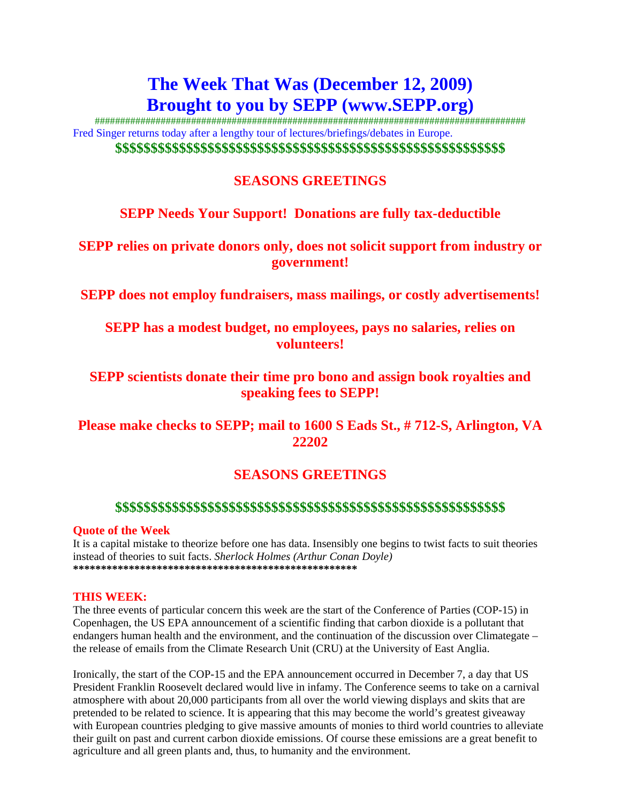# **The Week That Was (December 12, 2009) Brought to you by SEPP (www.SEPP.org)**

##################################################################################### Fred Singer returns today after a lengthy tour of lectures/briefings/debates in Europe. **\$\$\$\$\$\$\$\$\$\$\$\$\$\$\$\$\$\$\$\$\$\$\$\$\$\$\$\$\$\$\$\$\$\$\$\$\$\$\$\$\$\$\$\$\$\$\$\$\$\$\$\$\$\$\$** 

## **SEASONS GREETINGS**

# **SEPP Needs Your Support! Donations are fully tax-deductible**

**SEPP relies on private donors only, does not solicit support from industry or government!** 

**SEPP does not employ fundraisers, mass mailings, or costly advertisements!** 

## **SEPP has a modest budget, no employees, pays no salaries, relies on volunteers!**

# **SEPP scientists donate their time pro bono and assign book royalties and speaking fees to SEPP!**

# **Please make checks to SEPP; mail to 1600 S Eads St., # 712-S, Arlington, VA 22202**

# **SEASONS GREETINGS**

## **\$\$\$\$\$\$\$\$\$\$\$\$\$\$\$\$\$\$\$\$\$\$\$\$\$\$\$\$\$\$\$\$\$\$\$\$\$\$\$\$\$\$\$\$\$\$\$\$\$\$\$\$\$\$\$**

## **Quote of the Week**

It is a capital mistake to theorize before one has data. Insensibly one begins to twist facts to suit theories instead of theories to suit facts. *Sherlock Holmes (Arthur Conan Doyle)*  **\*\*\*\*\*\*\*\*\*\*\*\*\*\*\*\*\*\*\*\*\*\*\*\*\*\*\*\*\*\*\*\*\*\*\*\*\*\*\*\*\*\*\*\*\*\*\*\*\*\*\*** 

## **THIS WEEK:**

The three events of particular concern this week are the start of the Conference of Parties (COP-15) in Copenhagen, the US EPA announcement of a scientific finding that carbon dioxide is a pollutant that endangers human health and the environment, and the continuation of the discussion over Climategate – the release of emails from the Climate Research Unit (CRU) at the University of East Anglia.

Ironically, the start of the COP-15 and the EPA announcement occurred in December 7, a day that US President Franklin Roosevelt declared would live in infamy. The Conference seems to take on a carnival atmosphere with about 20,000 participants from all over the world viewing displays and skits that are pretended to be related to science. It is appearing that this may become the world's greatest giveaway with European countries pledging to give massive amounts of monies to third world countries to alleviate their guilt on past and current carbon dioxide emissions. Of course these emissions are a great benefit to agriculture and all green plants and, thus, to humanity and the environment.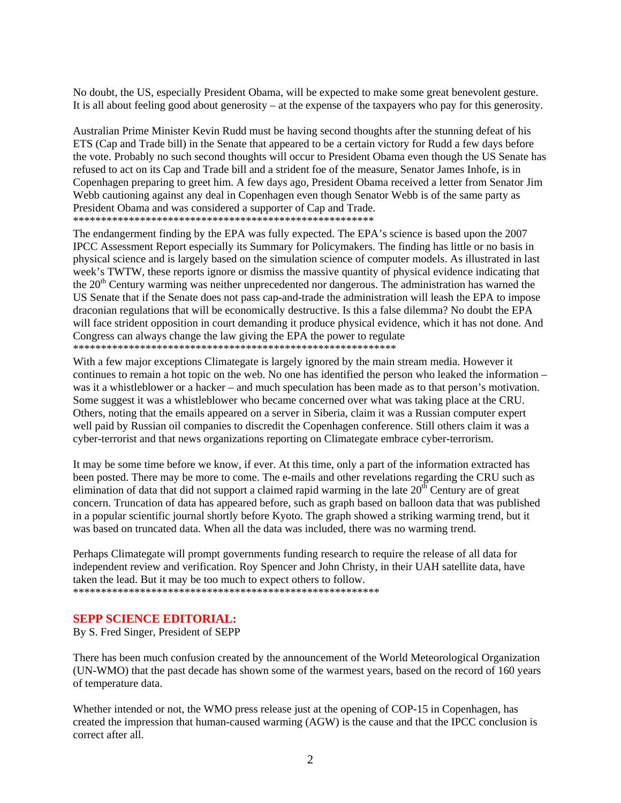No doubt, the US, especially President Obama, will be expected to make some great benevolent gesture. It is all about feeling good about generosity – at the expense of the taxpayers who pay for this generosity.

Australian Prime Minister Kevin Rudd must be having second thoughts after the stunning defeat of his ETS (Cap and Trade bill) in the Senate that appeared to be a certain victory for Rudd a few days before the vote. Probably no such second thoughts will occur to President Obama even though the US Senate has refused to act on its Cap and Trade bill and a strident foe of the measure, Senator James Inhofe, is in Copenhagen preparing to greet him. A few days ago, President Obama received a letter from Senator Jim Webb cautioning against any deal in Copenhagen even though Senator Webb is of the same party as President Obama and was considered a supporter of Cap and Trade. \*\*\*\*\*\*\*\*\*\*\*\*\*\*\*\*\*\*\*\*\*\*\*\*\*\*\*\*\*\*\*\*\*\*\*\*\*\*\*\*\*\*\*\*\*\*\*\*\*\*\*\*\*\*

The endangerment finding by the EPA was fully expected. The EPA's science is based upon the 2007 IPCC Assessment Report especially its Summary for Policymakers. The finding has little or no basis in physical science and is largely based on the simulation science of computer models. As illustrated in last week's TWTW, these reports ignore or dismiss the massive quantity of physical evidence indicating that the  $20<sup>th</sup>$  Century warming was neither unprecedented nor dangerous. The administration has warned the US Senate that if the Senate does not pass cap-and-trade the administration will leash the EPA to impose draconian regulations that will be economically destructive. Is this a false dilemma? No doubt the EPA will face strident opposition in court demanding it produce physical evidence, which it has not done. And Congress can always change the law giving the EPA the power to regulate \*\*\*\*\*\*\*\*\*\*\*\*\*\*\*\*\*\*\*\*\*\*\*\*\*\*\*\*\*\*\*\*\*\*\*\*\*\*\*\*\*\*\*\*\*\*\*\*\*\*\*\*\*\*\*\*\*\*

With a few major exceptions Climategate is largely ignored by the main stream media. However it continues to remain a hot topic on the web. No one has identified the person who leaked the information – was it a whistleblower or a hacker – and much speculation has been made as to that person's motivation. Some suggest it was a whistleblower who became concerned over what was taking place at the CRU. Others, noting that the emails appeared on a server in Siberia, claim it was a Russian computer expert well paid by Russian oil companies to discredit the Copenhagen conference. Still others claim it was a cyber-terrorist and that news organizations reporting on Climategate embrace cyber-terrorism.

It may be some time before we know, if ever. At this time, only a part of the information extracted has been posted. There may be more to come. The e-mails and other revelations regarding the CRU such as elimination of data that did not support a claimed rapid warming in the late  $20<sup>th</sup>$  Century are of great concern. Truncation of data has appeared before, such as graph based on balloon data that was published in a popular scientific journal shortly before Kyoto. The graph showed a striking warming trend, but it was based on truncated data. When all the data was included, there was no warming trend.

Perhaps Climategate will prompt governments funding research to require the release of all data for independent review and verification. Roy Spencer and John Christy, in their UAH satellite data, have taken the lead. But it may be too much to expect others to follow. \*\*\*\*\*\*\*\*\*\*\*\*\*\*\*\*\*\*\*\*\*\*\*\*\*\*\*\*\*\*\*\*\*\*\*\*\*\*\*\*\*\*\*\*\*\*\*\*\*\*\*\*\*\*\*

### **SEPP SCIENCE EDITORIAL:**

By S. Fred Singer, President of SEPP

There has been much confusion created by the announcement of the World Meteorological Organization (UN-WMO) that the past decade has shown some of the warmest years, based on the record of 160 years of temperature data.

Whether intended or not, the WMO press release just at the opening of COP-15 in Copenhagen, has created the impression that human-caused warming (AGW) is the cause and that the IPCC conclusion is correct after all.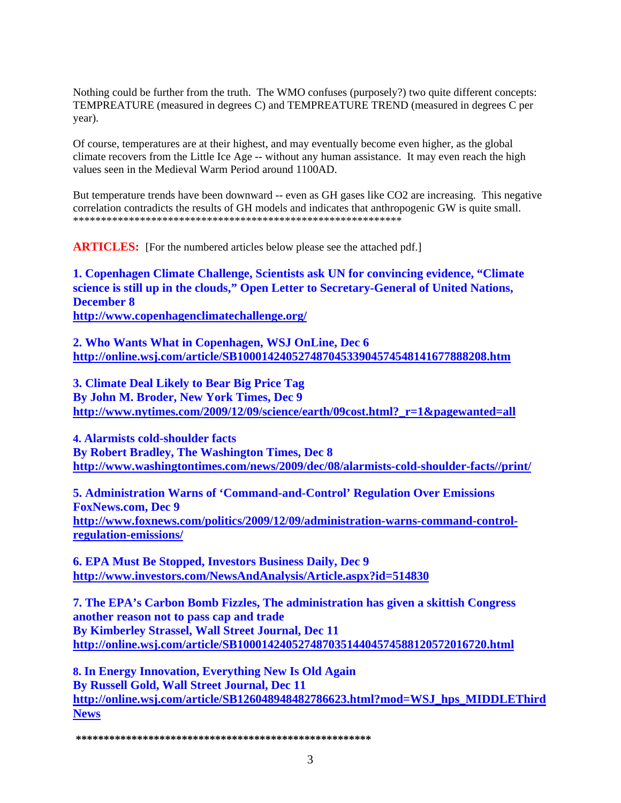Nothing could be further from the truth. The WMO confuses (purposely?) two quite different concepts: TEMPREATURE (measured in degrees C) and TEMPREATURE TREND (measured in degrees C per year).

Of course, temperatures are at their highest, and may eventually become even higher, as the global climate recovers from the Little Ice Age -- without any human assistance. It may even reach the high values seen in the Medieval Warm Period around 1100AD.

But temperature trends have been downward -- even as GH gases like CO2 are increasing. This negative correlation contradicts the results of GH models and indicates that anthropogenic GW is quite small. \*\*\*\*\*\*\*\*\*\*\*\*\*\*\*\*\*\*\*\*\*\*\*\*\*\*\*\*\*\*\*\*\*\*\*\*\*\*\*\*\*\*\*\*\*\*\*\*\*\*\*\*\*\*\*\*\*\*\*

**ARTICLES:** [For the numbered articles below please see the attached pdf.]

**1. Copenhagen Climate Challenge, Scientists ask UN for convincing evidence, "Climate science is still up in the clouds," Open Letter to Secretary-General of United Nations, December 8 http://www.copenhagenclimatechallenge.org/**

**2. Who Wants What in Copenhagen, WSJ OnLine, Dec 6 http://online.wsj.com/article/SB10001424052748704533904574548141677888208.htm**

**3. Climate Deal Likely to Bear Big Price Tag By John M. Broder, New York Times, Dec 9 http://www.nytimes.com/2009/12/09/science/earth/09cost.html?\_r=1&pagewanted=all**

**4. Alarmists cold-shoulder facts By Robert Bradley, The Washington Times, Dec 8 http://www.washingtontimes.com/news/2009/dec/08/alarmists-cold-shoulder-facts//print/**

**5. Administration Warns of 'Command-and-Control' Regulation Over Emissions FoxNews.com, Dec 9 http://www.foxnews.com/politics/2009/12/09/administration-warns-command-controlregulation-emissions/**

**6. EPA Must Be Stopped, Investors Business Daily, Dec 9 http://www.investors.com/NewsAndAnalysis/Article.aspx?id=514830**

**7. The EPA's Carbon Bomb Fizzles, The administration has given a skittish Congress another reason not to pass cap and trade By Kimberley Strassel, Wall Street Journal, Dec 11 http://online.wsj.com/article/SB10001424052748703514404574588120572016720.html**

**8. In Energy Innovation, Everything New Is Old Again By Russell Gold, Wall Street Journal, Dec 11 http://online.wsj.com/article/SB126048948482786623.html?mod=WSJ\_hps\_MIDDLEThird News**

 **\*\*\*\*\*\*\*\*\*\*\*\*\*\*\*\*\*\*\*\*\*\*\*\*\*\*\*\*\*\*\*\*\*\*\*\*\*\*\*\*\*\*\*\*\*\*\*\*\*\*\*\*\***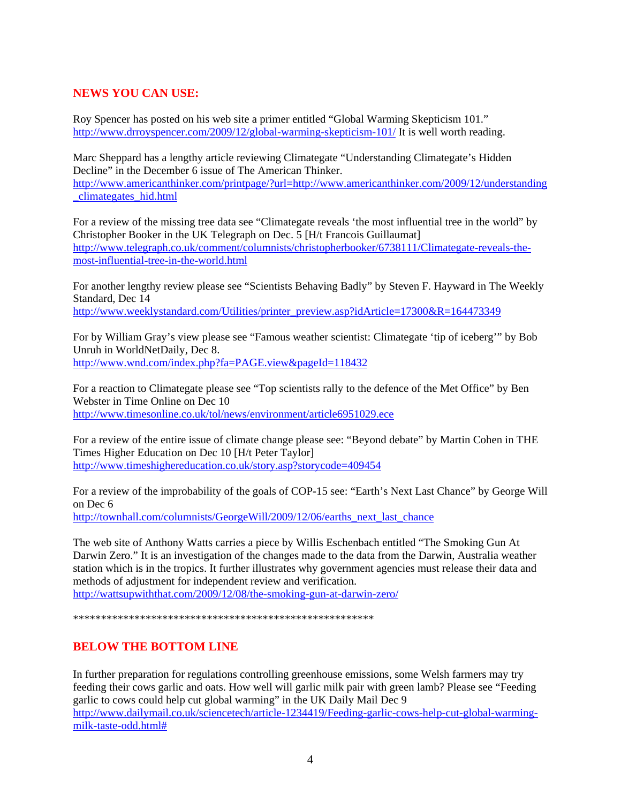### **NEWS YOU CAN USE:**

Roy Spencer has posted on his web site a primer entitled "Global Warming Skepticism 101." http://www.drroyspencer.com/2009/12/global-warming-skepticism-101/ It is well worth reading.

Marc Sheppard has a lengthy article reviewing Climategate "Understanding Climategate's Hidden Decline" in the December 6 issue of The American Thinker.

http://www.americanthinker.com/printpage/?url=http://www.americanthinker.com/2009/12/understanding \_climategates\_hid.html

For a review of the missing tree data see "Climategate reveals 'the most influential tree in the world" by Christopher Booker in the UK Telegraph on Dec. 5 [H/t Francois Guillaumat] http://www.telegraph.co.uk/comment/columnists/christopherbooker/6738111/Climategate-reveals-themost-influential-tree-in-the-world.html

For another lengthy review please see "Scientists Behaving Badly" by Steven F. Hayward in The Weekly Standard, Dec 14 http://www.weeklystandard.com/Utilities/printer\_preview.asp?idArticle=17300&R=164473349

For by William Gray's view please see "Famous weather scientist: Climategate 'tip of iceberg'" by Bob Unruh in WorldNetDaily, Dec 8. http://www.wnd.com/index.php?fa=PAGE.view&pageId=118432

For a reaction to Climategate please see "Top scientists rally to the defence of the Met Office" by Ben Webster in Time Online on Dec 10 http://www.timesonline.co.uk/tol/news/environment/article6951029.ece

For a review of the entire issue of climate change please see: "Beyond debate" by Martin Cohen in THE Times Higher Education on Dec 10 [H/t Peter Taylor] http://www.timeshighereducation.co.uk/story.asp?storycode=409454

For a review of the improbability of the goals of COP-15 see: "Earth's Next Last Chance" by George Will on Dec 6 http://townhall.com/columnists/GeorgeWill/2009/12/06/earths\_next\_last\_chance

The web site of Anthony Watts carries a piece by Willis Eschenbach entitled "The Smoking Gun At Darwin Zero." It is an investigation of the changes made to the data from the Darwin, Australia weather station which is in the tropics. It further illustrates why government agencies must release their data and methods of adjustment for independent review and verification.

http://wattsupwiththat.com/2009/12/08/the-smoking-gun-at-darwin-zero/

\*\*\*\*\*\*\*\*\*\*\*\*\*\*\*\*\*\*\*\*\*\*\*\*\*\*\*\*\*\*\*\*\*\*\*\*\*\*\*\*\*\*\*\*\*\*\*\*\*\*\*\*\*\*

## **BELOW THE BOTTOM LINE**

In further preparation for regulations controlling greenhouse emissions, some Welsh farmers may try feeding their cows garlic and oats. How well will garlic milk pair with green lamb? Please see "Feeding garlic to cows could help cut global warming" in the UK Daily Mail Dec 9 http://www.dailymail.co.uk/sciencetech/article-1234419/Feeding-garlic-cows-help-cut-global-warmingmilk-taste-odd.html#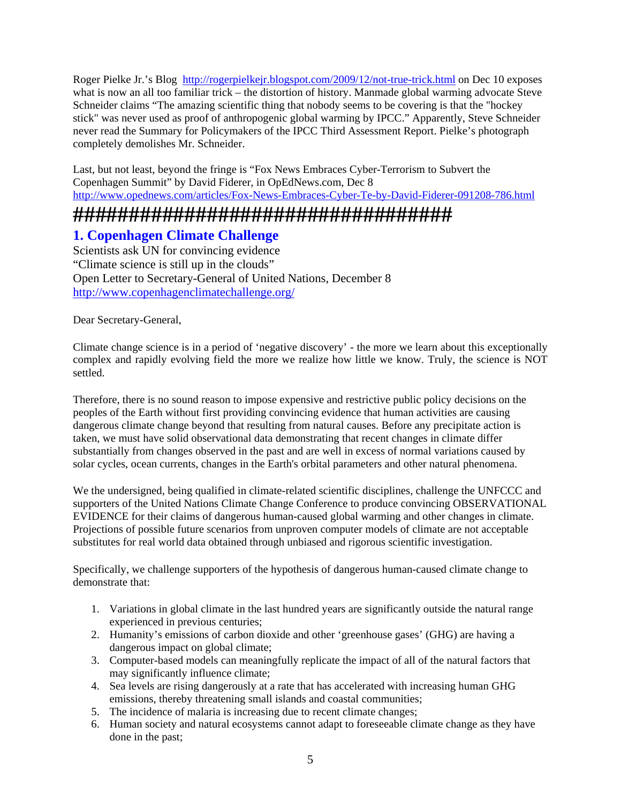Roger Pielke Jr.'s Blog http://rogerpielkejr.blogspot.com/2009/12/not-true-trick.html on Dec 10 exposes what is now an all too familiar trick – the distortion of history. Manmade global warming advocate Steve Schneider claims "The amazing scientific thing that nobody seems to be covering is that the "hockey stick" was never used as proof of anthropogenic global warming by IPCC." Apparently, Steve Schneider never read the Summary for Policymakers of the IPCC Third Assessment Report. Pielke's photograph completely demolishes Mr. Schneider.

Last, but not least, beyond the fringe is "Fox News Embraces Cyber-Terrorism to Subvert the Copenhagen Summit" by David Fiderer, in OpEdNews.com, Dec 8

http://www.opednews.com/articles/Fox-News-Embraces-Cyber-Te-by-David-Fiderer-091208-786.html

# **##################################**

# **1. Copenhagen Climate Challenge**

Scientists ask UN for convincing evidence "Climate science is still up in the clouds" Open Letter to Secretary-General of United Nations, December 8 http://www.copenhagenclimatechallenge.org/

Dear Secretary-General,

Climate change science is in a period of 'negative discovery' - the more we learn about this exceptionally complex and rapidly evolving field the more we realize how little we know. Truly, the science is NOT settled.

Therefore, there is no sound reason to impose expensive and restrictive public policy decisions on the peoples of the Earth without first providing convincing evidence that human activities are causing dangerous climate change beyond that resulting from natural causes. Before any precipitate action is taken, we must have solid observational data demonstrating that recent changes in climate differ substantially from changes observed in the past and are well in excess of normal variations caused by solar cycles, ocean currents, changes in the Earth's orbital parameters and other natural phenomena.

We the undersigned, being qualified in climate-related scientific disciplines, challenge the UNFCCC and supporters of the United Nations Climate Change Conference to produce convincing OBSERVATIONAL EVIDENCE for their claims of dangerous human-caused global warming and other changes in climate. Projections of possible future scenarios from unproven computer models of climate are not acceptable substitutes for real world data obtained through unbiased and rigorous scientific investigation.

Specifically, we challenge supporters of the hypothesis of dangerous human-caused climate change to demonstrate that:

- 1. Variations in global climate in the last hundred years are significantly outside the natural range experienced in previous centuries;
- 2. Humanity's emissions of carbon dioxide and other 'greenhouse gases' (GHG) are having a dangerous impact on global climate;
- 3. Computer-based models can meaningfully replicate the impact of all of the natural factors that may significantly influence climate;
- 4. Sea levels are rising dangerously at a rate that has accelerated with increasing human GHG emissions, thereby threatening small islands and coastal communities;
- 5. The incidence of malaria is increasing due to recent climate changes;
- 6. Human society and natural ecosystems cannot adapt to foreseeable climate change as they have done in the past;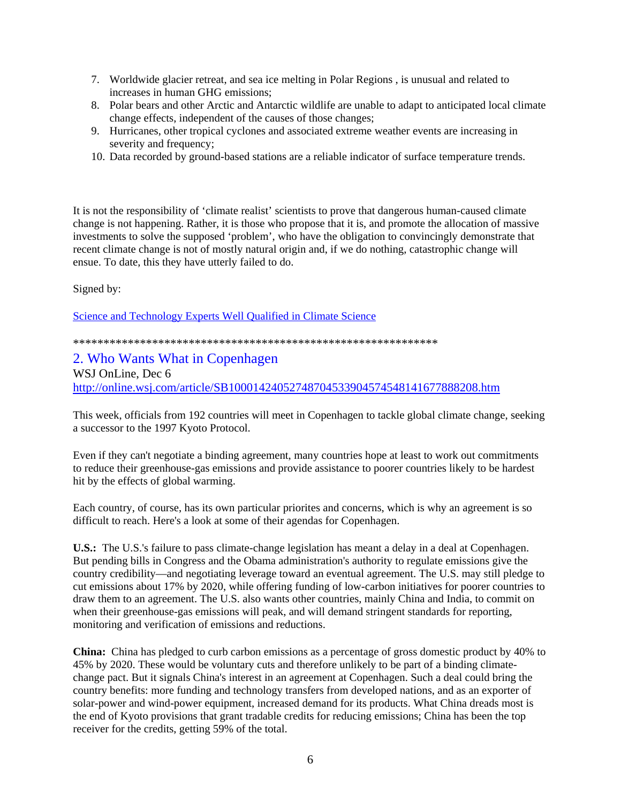- 7. Worldwide glacier retreat, and sea ice melting in Polar Regions , is unusual and related to increases in human GHG emissions;
- 8. Polar bears and other Arctic and Antarctic wildlife are unable to adapt to anticipated local climate change effects, independent of the causes of those changes;
- 9. Hurricanes, other tropical cyclones and associated extreme weather events are increasing in severity and frequency;
- 10. Data recorded by ground-based stations are a reliable indicator of surface temperature trends.

It is not the responsibility of 'climate realist' scientists to prove that dangerous human-caused climate change is not happening. Rather, it is those who propose that it is, and promote the allocation of massive investments to solve the supposed 'problem', who have the obligation to convincingly demonstrate that recent climate change is not of mostly natural origin and, if we do nothing, catastrophic change will ensue. To date, this they have utterly failed to do.

Signed by:

Science and Technology Experts Well Qualified in Climate Science

\*\*\*\*\*\*\*\*\*\*\*\*\*\*\*\*\*\*\*\*\*\*\*\*\*\*\*\*\*\*\*\*\*\*\*\*\*\*\*\*\*\*\*\*\*\*\*\*\*\*\*\*\*\*\*\*\*\*\*\*

### 2. Who Wants What in Copenhagen

WSJ OnLine, Dec 6 http://online.wsj.com/article/SB10001424052748704533904574548141677888208.htm

This week, officials from 192 countries will meet in Copenhagen to tackle global climate change, seeking a successor to the 1997 Kyoto Protocol.

Even if they can't negotiate a binding agreement, many countries hope at least to work out commitments to reduce their greenhouse-gas emissions and provide assistance to poorer countries likely to be hardest hit by the effects of global warming.

Each country, of course, has its own particular priorites and concerns, which is why an agreement is so difficult to reach. Here's a look at some of their agendas for Copenhagen.

**U.S.:** The U.S.'s failure to pass climate-change legislation has meant a delay in a deal at Copenhagen. But pending bills in Congress and the Obama administration's authority to regulate emissions give the country credibility—and negotiating leverage toward an eventual agreement. The U.S. may still pledge to cut emissions about 17% by 2020, while offering funding of low-carbon initiatives for poorer countries to draw them to an agreement. The U.S. also wants other countries, mainly China and India, to commit on when their greenhouse-gas emissions will peak, and will demand stringent standards for reporting, monitoring and verification of emissions and reductions.

**China:** China has pledged to curb carbon emissions as a percentage of gross domestic product by 40% to 45% by 2020. These would be voluntary cuts and therefore unlikely to be part of a binding climatechange pact. But it signals China's interest in an agreement at Copenhagen. Such a deal could bring the country benefits: more funding and technology transfers from developed nations, and as an exporter of solar-power and wind-power equipment, increased demand for its products. What China dreads most is the end of Kyoto provisions that grant tradable credits for reducing emissions; China has been the top receiver for the credits, getting 59% of the total.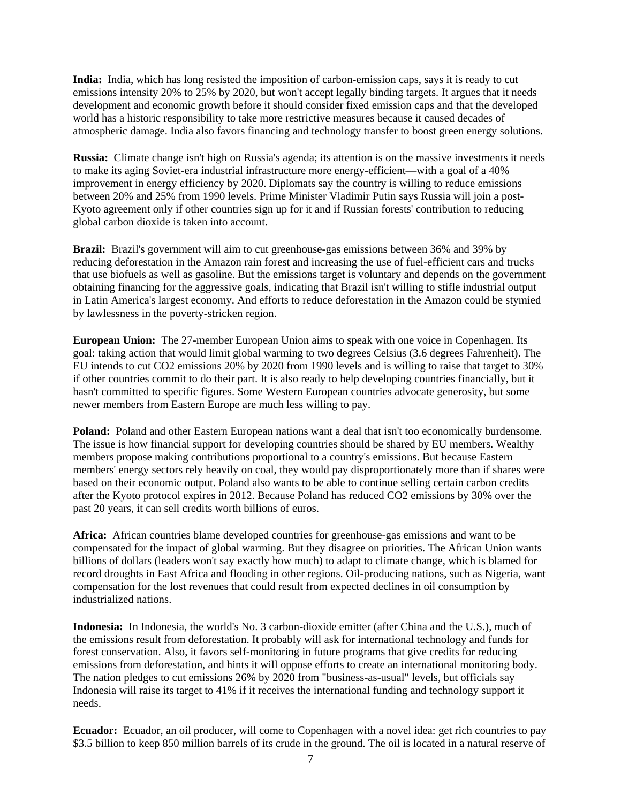**India:** India, which has long resisted the imposition of carbon-emission caps, says it is ready to cut emissions intensity 20% to 25% by 2020, but won't accept legally binding targets. It argues that it needs development and economic growth before it should consider fixed emission caps and that the developed world has a historic responsibility to take more restrictive measures because it caused decades of atmospheric damage. India also favors financing and technology transfer to boost green energy solutions.

**Russia:** Climate change isn't high on Russia's agenda; its attention is on the massive investments it needs to make its aging Soviet-era industrial infrastructure more energy-efficient—with a goal of a 40% improvement in energy efficiency by 2020. Diplomats say the country is willing to reduce emissions between 20% and 25% from 1990 levels. Prime Minister Vladimir Putin says Russia will join a post-Kyoto agreement only if other countries sign up for it and if Russian forests' contribution to reducing global carbon dioxide is taken into account.

**Brazil:** Brazil's government will aim to cut greenhouse-gas emissions between 36% and 39% by reducing deforestation in the Amazon rain forest and increasing the use of fuel-efficient cars and trucks that use biofuels as well as gasoline. But the emissions target is voluntary and depends on the government obtaining financing for the aggressive goals, indicating that Brazil isn't willing to stifle industrial output in Latin America's largest economy. And efforts to reduce deforestation in the Amazon could be stymied by lawlessness in the poverty-stricken region.

**European Union:** The 27-member European Union aims to speak with one voice in Copenhagen. Its goal: taking action that would limit global warming to two degrees Celsius (3.6 degrees Fahrenheit). The EU intends to cut CO2 emissions 20% by 2020 from 1990 levels and is willing to raise that target to 30% if other countries commit to do their part. It is also ready to help developing countries financially, but it hasn't committed to specific figures. Some Western European countries advocate generosity, but some newer members from Eastern Europe are much less willing to pay.

**Poland:** Poland and other Eastern European nations want a deal that isn't too economically burdensome. The issue is how financial support for developing countries should be shared by EU members. Wealthy members propose making contributions proportional to a country's emissions. But because Eastern members' energy sectors rely heavily on coal, they would pay disproportionately more than if shares were based on their economic output. Poland also wants to be able to continue selling certain carbon credits after the Kyoto protocol expires in 2012. Because Poland has reduced CO2 emissions by 30% over the past 20 years, it can sell credits worth billions of euros.

**Africa:** African countries blame developed countries for greenhouse-gas emissions and want to be compensated for the impact of global warming. But they disagree on priorities. The African Union wants billions of dollars (leaders won't say exactly how much) to adapt to climate change, which is blamed for record droughts in East Africa and flooding in other regions. Oil-producing nations, such as Nigeria, want compensation for the lost revenues that could result from expected declines in oil consumption by industrialized nations.

**Indonesia:** In Indonesia, the world's No. 3 carbon-dioxide emitter (after China and the U.S.), much of the emissions result from deforestation. It probably will ask for international technology and funds for forest conservation. Also, it favors self-monitoring in future programs that give credits for reducing emissions from deforestation, and hints it will oppose efforts to create an international monitoring body. The nation pledges to cut emissions 26% by 2020 from "business-as-usual" levels, but officials say Indonesia will raise its target to 41% if it receives the international funding and technology support it needs.

**Ecuador:** Ecuador, an oil producer, will come to Copenhagen with a novel idea: get rich countries to pay \$3.5 billion to keep 850 million barrels of its crude in the ground. The oil is located in a natural reserve of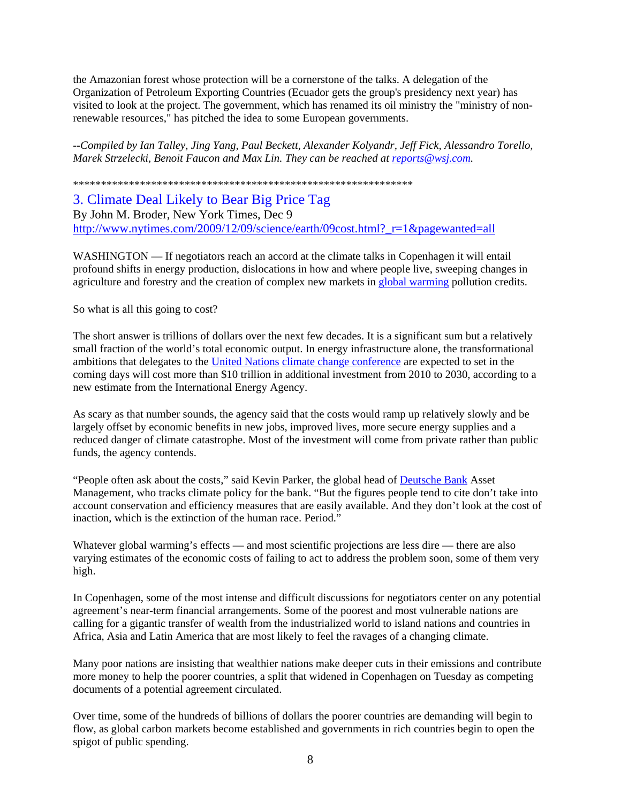the Amazonian forest whose protection will be a cornerstone of the talks. A delegation of the Organization of Petroleum Exporting Countries (Ecuador gets the group's presidency next year) has visited to look at the project. The government, which has renamed its oil ministry the "ministry of nonrenewable resources," has pitched the idea to some European governments.

*--Compiled by Ian Talley, Jing Yang, Paul Beckett, Alexander Kolyandr, Jeff Fick, Alessandro Torello, Marek Strzelecki, Benoit Faucon and Max Lin. They can be reached at reports@wsj.com.*

\*\*\*\*\*\*\*\*\*\*\*\*\*\*\*\*\*\*\*\*\*\*\*\*\*\*\*\*\*\*\*\*\*\*\*\*\*\*\*\*\*\*\*\*\*\*\*\*\*\*\*\*\*\*\*\*\*\*\*\*\*

3. Climate Deal Likely to Bear Big Price Tag By John M. Broder, New York Times, Dec 9 http://www.nytimes.com/2009/12/09/science/earth/09cost.html?\_r=1&pagewanted=all

WASHINGTON — If negotiators reach an accord at the climate talks in Copenhagen it will entail profound shifts in energy production, dislocations in how and where people live, sweeping changes in agriculture and forestry and the creation of complex new markets in global warming pollution credits.

So what is all this going to cost?

The short answer is trillions of dollars over the next few decades. It is a significant sum but a relatively small fraction of the world's total economic output. In energy infrastructure alone, the transformational ambitions that delegates to the United Nations climate change conference are expected to set in the coming days will cost more than \$10 trillion in additional investment from 2010 to 2030, according to a new estimate from the International Energy Agency.

As scary as that number sounds, the agency said that the costs would ramp up relatively slowly and be largely offset by economic benefits in new jobs, improved lives, more secure energy supplies and a reduced danger of climate catastrophe. Most of the investment will come from private rather than public funds, the agency contends.

"People often ask about the costs," said Kevin Parker, the global head of Deutsche Bank Asset Management, who tracks climate policy for the bank. "But the figures people tend to cite don't take into account conservation and efficiency measures that are easily available. And they don't look at the cost of inaction, which is the extinction of the human race. Period."

Whatever global warming's effects — and most scientific projections are less dire — there are also varying estimates of the economic costs of failing to act to address the problem soon, some of them very high.

In Copenhagen, some of the most intense and difficult discussions for negotiators center on any potential agreement's near-term financial arrangements. Some of the poorest and most vulnerable nations are calling for a gigantic transfer of wealth from the industrialized world to island nations and countries in Africa, Asia and Latin America that are most likely to feel the ravages of a changing climate.

Many poor nations are insisting that wealthier nations make deeper cuts in their emissions and contribute more money to help the poorer countries, a split that widened in Copenhagen on Tuesday as competing documents of a potential agreement circulated.

Over time, some of the hundreds of billions of dollars the poorer countries are demanding will begin to flow, as global carbon markets become established and governments in rich countries begin to open the spigot of public spending.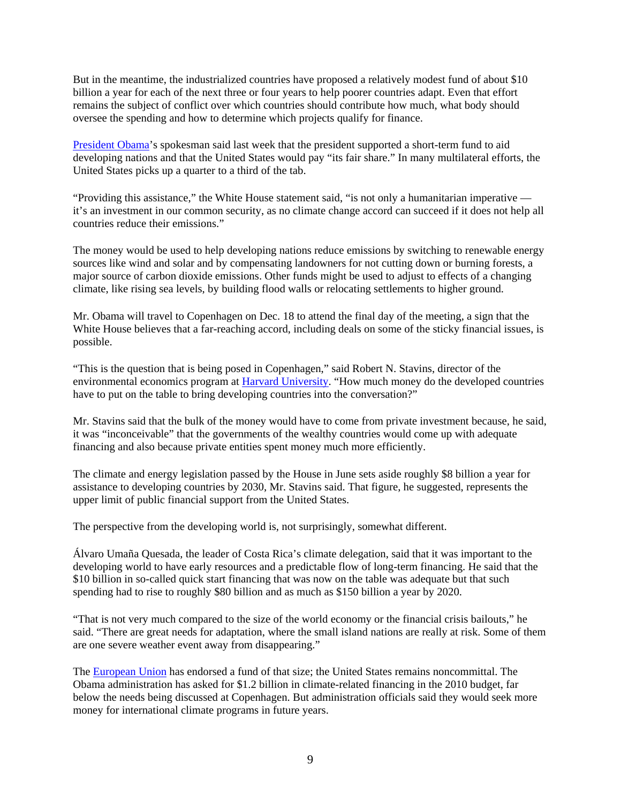But in the meantime, the industrialized countries have proposed a relatively modest fund of about \$10 billion a year for each of the next three or four years to help poorer countries adapt. Even that effort remains the subject of conflict over which countries should contribute how much, what body should oversee the spending and how to determine which projects qualify for finance.

President Obama's spokesman said last week that the president supported a short-term fund to aid developing nations and that the United States would pay "its fair share." In many multilateral efforts, the United States picks up a quarter to a third of the tab.

"Providing this assistance," the White House statement said, "is not only a humanitarian imperative it's an investment in our common security, as no climate change accord can succeed if it does not help all countries reduce their emissions."

The money would be used to help developing nations reduce emissions by switching to renewable energy sources like wind and solar and by compensating landowners for not cutting down or burning forests, a major source of carbon dioxide emissions. Other funds might be used to adjust to effects of a changing climate, like rising sea levels, by building flood walls or relocating settlements to higher ground.

Mr. Obama will travel to Copenhagen on Dec. 18 to attend the final day of the meeting, a sign that the White House believes that a far-reaching accord, including deals on some of the sticky financial issues, is possible.

"This is the question that is being posed in Copenhagen," said Robert N. Stavins, director of the environmental economics program at Harvard University. "How much money do the developed countries have to put on the table to bring developing countries into the conversation?"

Mr. Stavins said that the bulk of the money would have to come from private investment because, he said, it was "inconceivable" that the governments of the wealthy countries would come up with adequate financing and also because private entities spent money much more efficiently.

The climate and energy legislation passed by the House in June sets aside roughly \$8 billion a year for assistance to developing countries by 2030, Mr. Stavins said. That figure, he suggested, represents the upper limit of public financial support from the United States.

The perspective from the developing world is, not surprisingly, somewhat different.

Álvaro Umaña Quesada, the leader of Costa Rica's climate delegation, said that it was important to the developing world to have early resources and a predictable flow of long-term financing. He said that the \$10 billion in so-called quick start financing that was now on the table was adequate but that such spending had to rise to roughly \$80 billion and as much as \$150 billion a year by 2020.

"That is not very much compared to the size of the world economy or the financial crisis bailouts," he said. "There are great needs for adaptation, where the small island nations are really at risk. Some of them are one severe weather event away from disappearing."

The European Union has endorsed a fund of that size; the United States remains noncommittal. The Obama administration has asked for \$1.2 billion in climate-related financing in the 2010 budget, far below the needs being discussed at Copenhagen. But administration officials said they would seek more money for international climate programs in future years.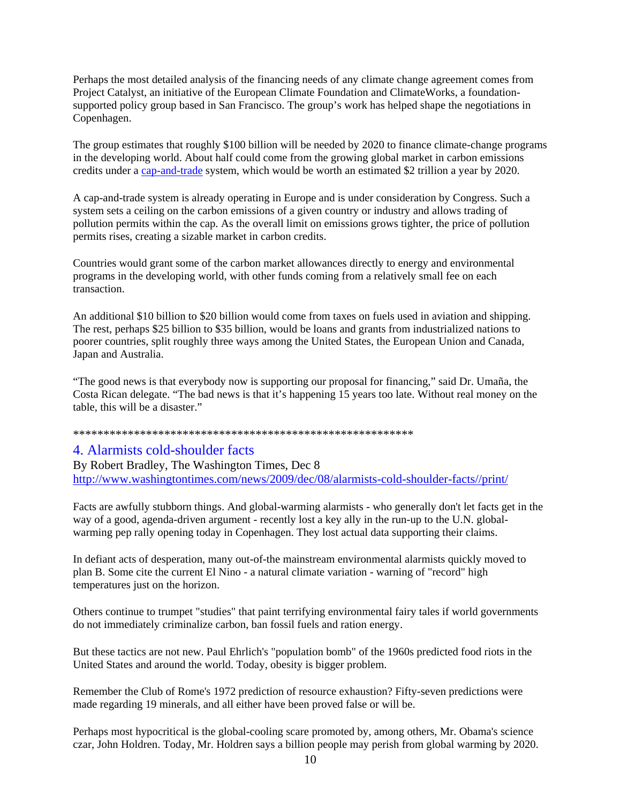Perhaps the most detailed analysis of the financing needs of any climate change agreement comes from Project Catalyst, an initiative of the European Climate Foundation and ClimateWorks, a foundationsupported policy group based in San Francisco. The group's work has helped shape the negotiations in Copenhagen.

The group estimates that roughly \$100 billion will be needed by 2020 to finance climate-change programs in the developing world. About half could come from the growing global market in carbon emissions credits under a cap-and-trade system, which would be worth an estimated \$2 trillion a year by 2020.

A cap-and-trade system is already operating in Europe and is under consideration by Congress. Such a system sets a ceiling on the carbon emissions of a given country or industry and allows trading of pollution permits within the cap. As the overall limit on emissions grows tighter, the price of pollution permits rises, creating a sizable market in carbon credits.

Countries would grant some of the carbon market allowances directly to energy and environmental programs in the developing world, with other funds coming from a relatively small fee on each transaction.

An additional \$10 billion to \$20 billion would come from taxes on fuels used in aviation and shipping. The rest, perhaps \$25 billion to \$35 billion, would be loans and grants from industrialized nations to poorer countries, split roughly three ways among the United States, the European Union and Canada, Japan and Australia.

"The good news is that everybody now is supporting our proposal for financing," said Dr. Umaña, the Costa Rican delegate. "The bad news is that it's happening 15 years too late. Without real money on the table, this will be a disaster."

### \*\*\*\*\*\*\*\*\*\*\*\*\*\*\*\*\*\*\*\*\*\*\*\*\*\*\*\*\*\*\*\*\*\*\*\*\*\*\*\*\*\*\*\*\*\*\*\*\*\*\*\*\*\*\*\*

### 4. Alarmists cold-shoulder facts

By Robert Bradley, The Washington Times, Dec 8 http://www.washingtontimes.com/news/2009/dec/08/alarmists-cold-shoulder-facts//print/

Facts are awfully stubborn things. And global-warming alarmists - who generally don't let facts get in the way of a good, agenda-driven argument - recently lost a key ally in the run-up to the U.N. globalwarming pep rally opening today in Copenhagen. They lost actual data supporting their claims.

In defiant acts of desperation, many out-of-the mainstream environmental alarmists quickly moved to plan B. Some cite the current El Nino - a natural climate variation - warning of "record" high temperatures just on the horizon.

Others continue to trumpet "studies" that paint terrifying environmental fairy tales if world governments do not immediately criminalize carbon, ban fossil fuels and ration energy.

But these tactics are not new. Paul Ehrlich's "population bomb" of the 1960s predicted food riots in the United States and around the world. Today, obesity is bigger problem.

Remember the Club of Rome's 1972 prediction of resource exhaustion? Fifty-seven predictions were made regarding 19 minerals, and all either have been proved false or will be.

Perhaps most hypocritical is the global-cooling scare promoted by, among others, Mr. Obama's science czar, John Holdren. Today, Mr. Holdren says a billion people may perish from global warming by 2020.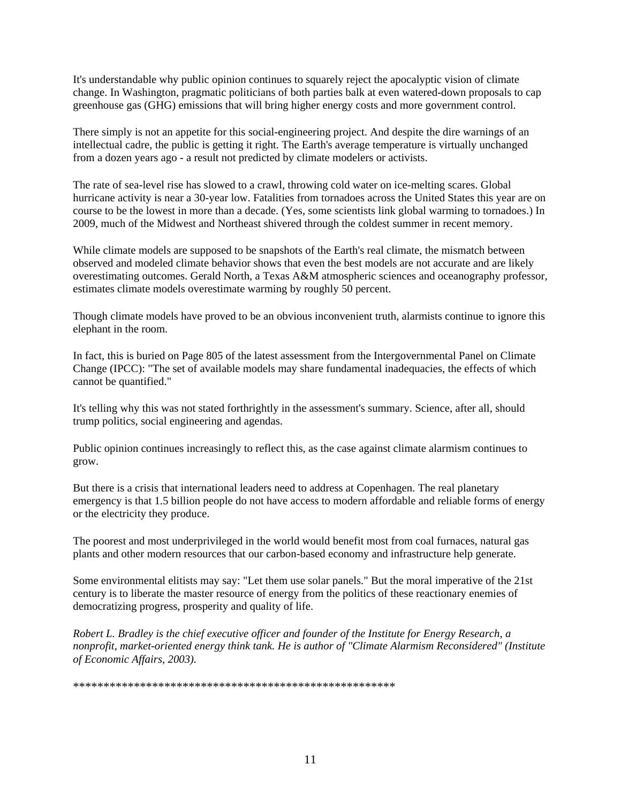It's understandable why public opinion continues to squarely reject the apocalyptic vision of climate change. In Washington, pragmatic politicians of both parties balk at even watered-down proposals to cap greenhouse gas (GHG) emissions that will bring higher energy costs and more government control.

There simply is not an appetite for this social-engineering project. And despite the dire warnings of an intellectual cadre, the public is getting it right. The Earth's average temperature is virtually unchanged from a dozen years ago - a result not predicted by climate modelers or activists.

The rate of sea-level rise has slowed to a crawl, throwing cold water on ice-melting scares. Global hurricane activity is near a 30-year low. Fatalities from tornadoes across the United States this year are on course to be the lowest in more than a decade. (Yes, some scientists link global warming to tornadoes.) In 2009, much of the Midwest and Northeast shivered through the coldest summer in recent memory.

While climate models are supposed to be snapshots of the Earth's real climate, the mismatch between observed and modeled climate behavior shows that even the best models are not accurate and are likely overestimating outcomes. Gerald North, a Texas A&M atmospheric sciences and oceanography professor, estimates climate models overestimate warming by roughly 50 percent.

Though climate models have proved to be an obvious inconvenient truth, alarmists continue to ignore this elephant in the room.

In fact, this is buried on Page 805 of the latest assessment from the Intergovernmental Panel on Climate Change (IPCC): "The set of available models may share fundamental inadequacies, the effects of which cannot be quantified."

It's telling why this was not stated forthrightly in the assessment's summary. Science, after all, should trump politics, social engineering and agendas.

Public opinion continues increasingly to reflect this, as the case against climate alarmism continues to grow.

But there is a crisis that international leaders need to address at Copenhagen. The real planetary emergency is that 1.5 billion people do not have access to modern affordable and reliable forms of energy or the electricity they produce.

The poorest and most underprivileged in the world would benefit most from coal furnaces, natural gas plants and other modern resources that our carbon-based economy and infrastructure help generate.

Some environmental elitists may say: "Let them use solar panels." But the moral imperative of the 21st century is to liberate the master resource of energy from the politics of these reactionary enemies of democratizing progress, prosperity and quality of life.

*Robert L. Bradley is the chief executive officer and founder of the Institute for Energy Research, a nonprofit, market-oriented energy think tank. He is author of "Climate Alarmism Reconsidered" (Institute of Economic Affairs, 2003).*

\*\*\*\*\*\*\*\*\*\*\*\*\*\*\*\*\*\*\*\*\*\*\*\*\*\*\*\*\*\*\*\*\*\*\*\*\*\*\*\*\*\*\*\*\*\*\*\*\*\*\*\*\*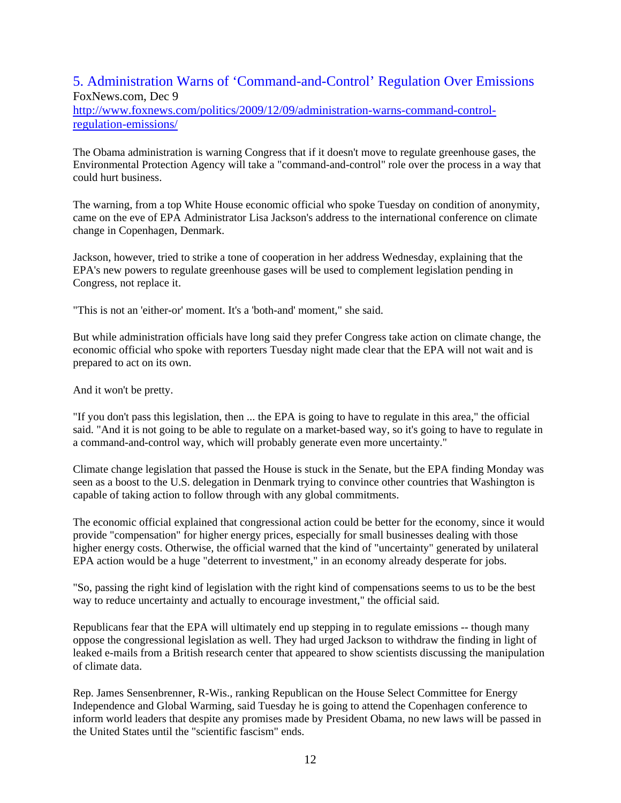## 5. Administration Warns of 'Command-and-Control' Regulation Over Emissions FoxNews.com, Dec 9

http://www.foxnews.com/politics/2009/12/09/administration-warns-command-controlregulation-emissions/

The Obama administration is warning Congress that if it doesn't move to regulate greenhouse gases, the Environmental Protection Agency will take a "command-and-control" role over the process in a way that could hurt business.

The warning, from a top White House economic official who spoke Tuesday on condition of anonymity, came on the eve of EPA Administrator Lisa Jackson's address to the international conference on climate change in Copenhagen, Denmark.

Jackson, however, tried to strike a tone of cooperation in her address Wednesday, explaining that the EPA's new powers to regulate greenhouse gases will be used to complement legislation pending in Congress, not replace it.

"This is not an 'either-or' moment. It's a 'both-and' moment," she said.

But while administration officials have long said they prefer Congress take action on climate change, the economic official who spoke with reporters Tuesday night made clear that the EPA will not wait and is prepared to act on its own.

And it won't be pretty.

"If you don't pass this legislation, then ... the EPA is going to have to regulate in this area," the official said. "And it is not going to be able to regulate on a market-based way, so it's going to have to regulate in a command-and-control way, which will probably generate even more uncertainty."

Climate change legislation that passed the House is stuck in the Senate, but the EPA finding Monday was seen as a boost to the U.S. delegation in Denmark trying to convince other countries that Washington is capable of taking action to follow through with any global commitments.

The economic official explained that congressional action could be better for the economy, since it would provide "compensation" for higher energy prices, especially for small businesses dealing with those higher energy costs. Otherwise, the official warned that the kind of "uncertainty" generated by unilateral EPA action would be a huge "deterrent to investment," in an economy already desperate for jobs.

"So, passing the right kind of legislation with the right kind of compensations seems to us to be the best way to reduce uncertainty and actually to encourage investment," the official said.

Republicans fear that the EPA will ultimately end up stepping in to regulate emissions -- though many oppose the congressional legislation as well. They had urged Jackson to withdraw the finding in light of leaked e-mails from a British research center that appeared to show scientists discussing the manipulation of climate data.

Rep. James Sensenbrenner, R-Wis., ranking Republican on the House Select Committee for Energy Independence and Global Warming, said Tuesday he is going to attend the Copenhagen conference to inform world leaders that despite any promises made by President Obama, no new laws will be passed in the United States until the "scientific fascism" ends.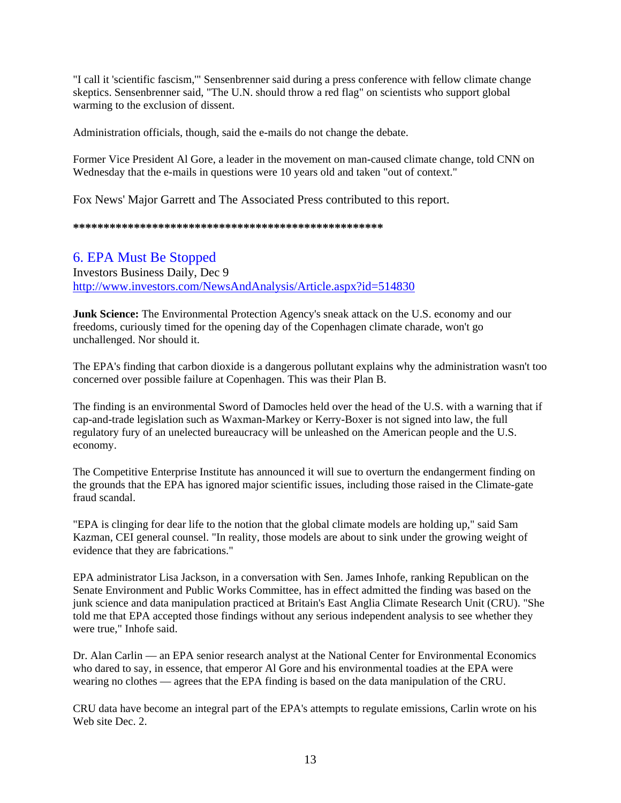"I call it 'scientific fascism,'" Sensenbrenner said during a press conference with fellow climate change skeptics. Sensenbrenner said, "The U.N. should throw a red flag" on scientists who support global warming to the exclusion of dissent.

Administration officials, though, said the e-mails do not change the debate.

Former Vice President Al Gore, a leader in the movement on man-caused climate change, told CNN on Wednesday that the e-mails in questions were 10 years old and taken "out of context."

Fox News' Major Garrett and The Associated Press contributed to this report.

#### **\*\*\*\*\*\*\*\*\*\*\*\*\*\*\*\*\*\*\*\*\*\*\*\*\*\*\*\*\*\*\*\*\*\*\*\*\*\*\*\*\*\*\*\*\*\*\*\*\*\*\***

## 6. EPA Must Be Stopped

Investors Business Daily, Dec 9 http://www.investors.com/NewsAndAnalysis/Article.aspx?id=514830

**Junk Science:** The Environmental Protection Agency's sneak attack on the U.S. economy and our freedoms, curiously timed for the opening day of the Copenhagen climate charade, won't go unchallenged. Nor should it.

The EPA's finding that carbon dioxide is a dangerous pollutant explains why the administration wasn't too concerned over possible failure at Copenhagen. This was their Plan B.

The finding is an environmental Sword of Damocles held over the head of the U.S. with a warning that if cap-and-trade legislation such as Waxman-Markey or Kerry-Boxer is not signed into law, the full regulatory fury of an unelected bureaucracy will be unleashed on the American people and the U.S. economy.

The Competitive Enterprise Institute has announced it will sue to overturn the endangerment finding on the grounds that the EPA has ignored major scientific issues, including those raised in the Climate-gate fraud scandal.

"EPA is clinging for dear life to the notion that the global climate models are holding up," said Sam Kazman, CEI general counsel. "In reality, those models are about to sink under the growing weight of evidence that they are fabrications."

EPA administrator Lisa Jackson, in a conversation with Sen. James Inhofe, ranking Republican on the Senate Environment and Public Works Committee, has in effect admitted the finding was based on the junk science and data manipulation practiced at Britain's East Anglia Climate Research Unit (CRU). "She told me that EPA accepted those findings without any serious independent analysis to see whether they were true," Inhofe said.

Dr. Alan Carlin — an EPA senior research analyst at the National Center for Environmental Economics who dared to say, in essence, that emperor Al Gore and his environmental toadies at the EPA were wearing no clothes — agrees that the EPA finding is based on the data manipulation of the CRU.

CRU data have become an integral part of the EPA's attempts to regulate emissions, Carlin wrote on his Web site Dec. 2.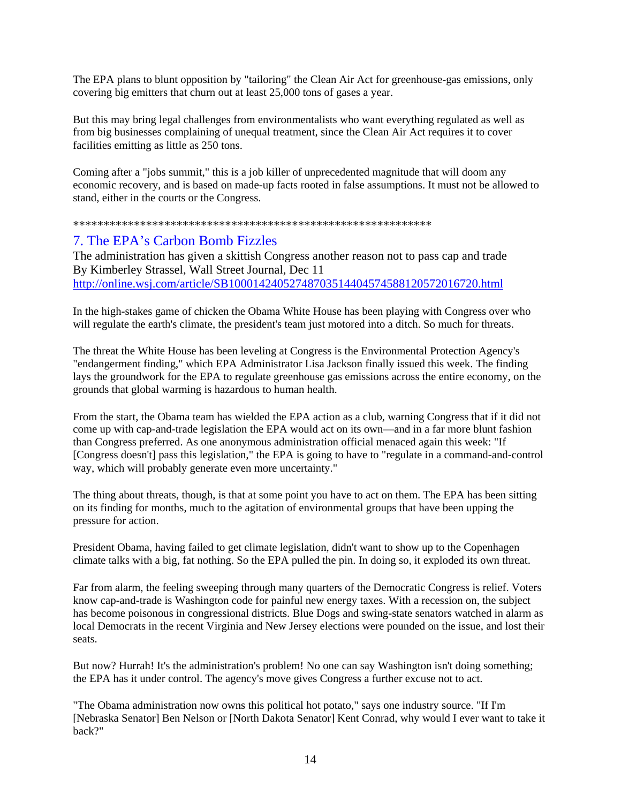The EPA plans to blunt opposition by "tailoring" the Clean Air Act for greenhouse-gas emissions, only covering big emitters that churn out at least 25,000 tons of gases a year.

But this may bring legal challenges from environmentalists who want everything regulated as well as from big businesses complaining of unequal treatment, since the Clean Air Act requires it to cover facilities emitting as little as 250 tons.

Coming after a "jobs summit," this is a job killer of unprecedented magnitude that will doom any economic recovery, and is based on made-up facts rooted in false assumptions. It must not be allowed to stand, either in the courts or the Congress.

#### \*\*\*\*\*\*\*\*\*\*\*\*\*\*\*\*\*\*\*\*\*\*\*\*\*\*\*\*\*\*\*\*\*\*\*\*\*\*\*\*\*\*\*\*\*\*\*\*\*\*\*\*\*\*\*\*\*\*\*

### 7. The EPA's Carbon Bomb Fizzles

The administration has given a skittish Congress another reason not to pass cap and trade By Kimberley Strassel, Wall Street Journal, Dec 11 http://online.wsj.com/article/SB10001424052748703514404574588120572016720.html

In the high-stakes game of chicken the Obama White House has been playing with Congress over who will regulate the earth's climate, the president's team just motored into a ditch. So much for threats.

The threat the White House has been leveling at Congress is the Environmental Protection Agency's "endangerment finding," which EPA Administrator Lisa Jackson finally issued this week. The finding lays the groundwork for the EPA to regulate greenhouse gas emissions across the entire economy, on the grounds that global warming is hazardous to human health.

From the start, the Obama team has wielded the EPA action as a club, warning Congress that if it did not come up with cap-and-trade legislation the EPA would act on its own—and in a far more blunt fashion than Congress preferred. As one anonymous administration official menaced again this week: "If [Congress doesn't] pass this legislation," the EPA is going to have to "regulate in a command-and-control way, which will probably generate even more uncertainty."

The thing about threats, though, is that at some point you have to act on them. The EPA has been sitting on its finding for months, much to the agitation of environmental groups that have been upping the pressure for action.

President Obama, having failed to get climate legislation, didn't want to show up to the Copenhagen climate talks with a big, fat nothing. So the EPA pulled the pin. In doing so, it exploded its own threat.

Far from alarm, the feeling sweeping through many quarters of the Democratic Congress is relief. Voters know cap-and-trade is Washington code for painful new energy taxes. With a recession on, the subject has become poisonous in congressional districts. Blue Dogs and swing-state senators watched in alarm as local Democrats in the recent Virginia and New Jersey elections were pounded on the issue, and lost their seats.

But now? Hurrah! It's the administration's problem! No one can say Washington isn't doing something; the EPA has it under control. The agency's move gives Congress a further excuse not to act.

"The Obama administration now owns this political hot potato," says one industry source. "If I'm [Nebraska Senator] Ben Nelson or [North Dakota Senator] Kent Conrad, why would I ever want to take it back?"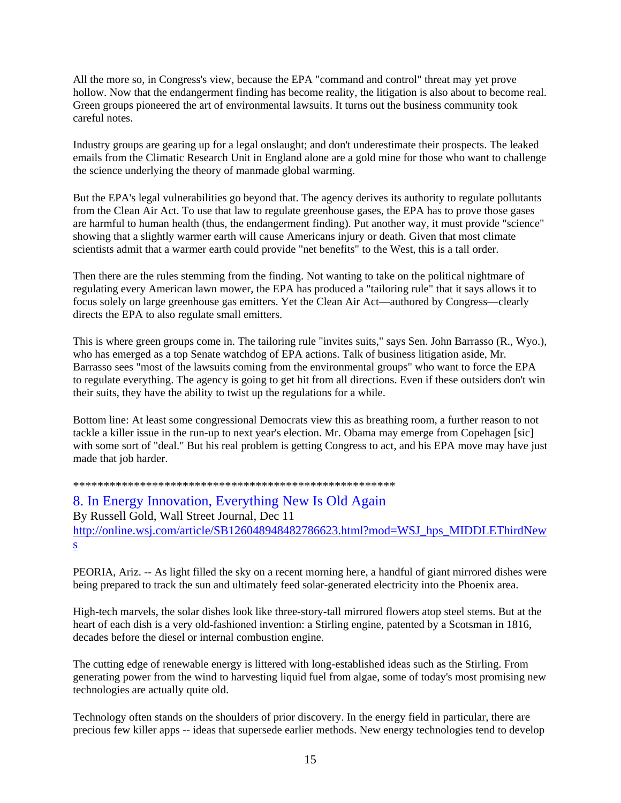All the more so, in Congress's view, because the EPA "command and control" threat may yet prove hollow. Now that the endangerment finding has become reality, the litigation is also about to become real. Green groups pioneered the art of environmental lawsuits. It turns out the business community took careful notes.

Industry groups are gearing up for a legal onslaught; and don't underestimate their prospects. The leaked emails from the Climatic Research Unit in England alone are a gold mine for those who want to challenge the science underlying the theory of manmade global warming.

But the EPA's legal vulnerabilities go beyond that. The agency derives its authority to regulate pollutants from the Clean Air Act. To use that law to regulate greenhouse gases, the EPA has to prove those gases are harmful to human health (thus, the endangerment finding). Put another way, it must provide "science" showing that a slightly warmer earth will cause Americans injury or death. Given that most climate scientists admit that a warmer earth could provide "net benefits" to the West, this is a tall order.

Then there are the rules stemming from the finding. Not wanting to take on the political nightmare of regulating every American lawn mower, the EPA has produced a "tailoring rule" that it says allows it to focus solely on large greenhouse gas emitters. Yet the Clean Air Act—authored by Congress—clearly directs the EPA to also regulate small emitters.

This is where green groups come in. The tailoring rule "invites suits," says Sen. John Barrasso (R., Wyo.), who has emerged as a top Senate watchdog of EPA actions. Talk of business litigation aside, Mr. Barrasso sees "most of the lawsuits coming from the environmental groups" who want to force the EPA to regulate everything. The agency is going to get hit from all directions. Even if these outsiders don't win their suits, they have the ability to twist up the regulations for a while.

Bottom line: At least some congressional Democrats view this as breathing room, a further reason to not tackle a killer issue in the run-up to next year's election. Mr. Obama may emerge from Copehagen [sic] with some sort of "deal." But his real problem is getting Congress to act, and his EPA move may have just made that job harder.

\*\*\*\*\*\*\*\*\*\*\*\*\*\*\*\*\*\*\*\*\*\*\*\*\*\*\*\*\*\*\*\*\*\*\*\*\*\*\*\*\*\*\*\*\*\*\*\*\*\*\*\*\*

### 8. In Energy Innovation, Everything New Is Old Again

By Russell Gold, Wall Street Journal, Dec 11 http://online.wsj.com/article/SB126048948482786623.html?mod=WSJ\_hps\_MIDDLEThirdNew s

PEORIA, Ariz. -- As light filled the sky on a recent morning here, a handful of giant mirrored dishes were being prepared to track the sun and ultimately feed solar-generated electricity into the Phoenix area.

High-tech marvels, the solar dishes look like three-story-tall mirrored flowers atop steel stems. But at the heart of each dish is a very old-fashioned invention: a Stirling engine, patented by a Scotsman in 1816, decades before the diesel or internal combustion engine.

The cutting edge of renewable energy is littered with long-established ideas such as the Stirling. From generating power from the wind to harvesting liquid fuel from algae, some of today's most promising new technologies are actually quite old.

Technology often stands on the shoulders of prior discovery. In the energy field in particular, there are precious few killer apps -- ideas that supersede earlier methods. New energy technologies tend to develop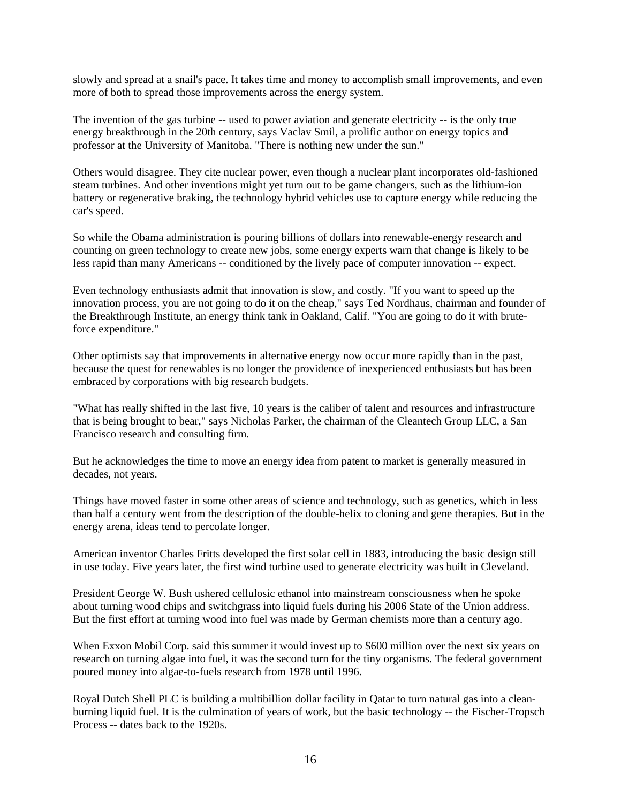slowly and spread at a snail's pace. It takes time and money to accomplish small improvements, and even more of both to spread those improvements across the energy system.

The invention of the gas turbine -- used to power aviation and generate electricity -- is the only true energy breakthrough in the 20th century, says Vaclav Smil, a prolific author on energy topics and professor at the University of Manitoba. "There is nothing new under the sun."

Others would disagree. They cite nuclear power, even though a nuclear plant incorporates old-fashioned steam turbines. And other inventions might yet turn out to be game changers, such as the lithium-ion battery or regenerative braking, the technology hybrid vehicles use to capture energy while reducing the car's speed.

So while the Obama administration is pouring billions of dollars into renewable-energy research and counting on green technology to create new jobs, some energy experts warn that change is likely to be less rapid than many Americans -- conditioned by the lively pace of computer innovation -- expect.

Even technology enthusiasts admit that innovation is slow, and costly. "If you want to speed up the innovation process, you are not going to do it on the cheap," says Ted Nordhaus, chairman and founder of the Breakthrough Institute, an energy think tank in Oakland, Calif. "You are going to do it with bruteforce expenditure."

Other optimists say that improvements in alternative energy now occur more rapidly than in the past, because the quest for renewables is no longer the providence of inexperienced enthusiasts but has been embraced by corporations with big research budgets.

"What has really shifted in the last five, 10 years is the caliber of talent and resources and infrastructure that is being brought to bear," says Nicholas Parker, the chairman of the Cleantech Group LLC, a San Francisco research and consulting firm.

But he acknowledges the time to move an energy idea from patent to market is generally measured in decades, not years.

Things have moved faster in some other areas of science and technology, such as genetics, which in less than half a century went from the description of the double-helix to cloning and gene therapies. But in the energy arena, ideas tend to percolate longer.

American inventor Charles Fritts developed the first solar cell in 1883, introducing the basic design still in use today. Five years later, the first wind turbine used to generate electricity was built in Cleveland.

President George W. Bush ushered cellulosic ethanol into mainstream consciousness when he spoke about turning wood chips and switchgrass into liquid fuels during his 2006 State of the Union address. But the first effort at turning wood into fuel was made by German chemists more than a century ago.

When Exxon Mobil Corp. said this summer it would invest up to \$600 million over the next six years on research on turning algae into fuel, it was the second turn for the tiny organisms. The federal government poured money into algae-to-fuels research from 1978 until 1996.

Royal Dutch Shell PLC is building a multibillion dollar facility in Qatar to turn natural gas into a cleanburning liquid fuel. It is the culmination of years of work, but the basic technology -- the Fischer-Tropsch Process -- dates back to the 1920s.